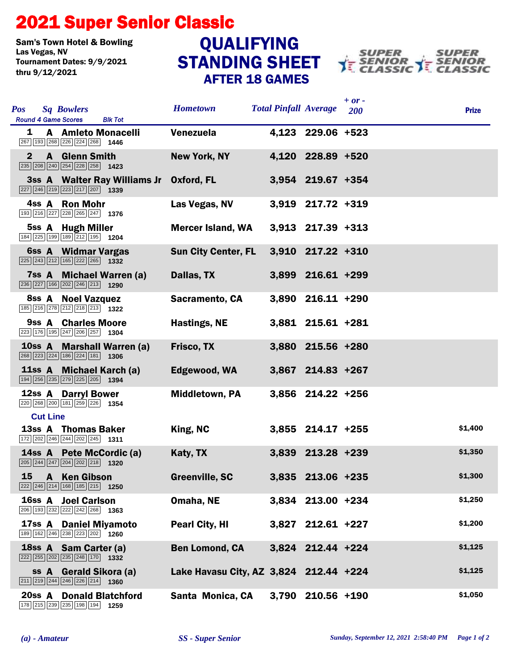## 2021 Super Senior Classic

Sam's Town Hotel & Bowling<br>Las Vegas, NV Tournament Dates: 9/9/2021 thru 9/12/2021

## STANDING SHEET AFTER 18 GAMES QUALIFYING



| <b>Pos</b><br><b>Sq Bowlers</b><br><b>Round 4 Game Scores</b><br><b>Blk Tot</b>                                                            | <b>Hometown</b>                        | <b>Total Pinfall Average</b> | $+ or -$<br><b>200</b> | <b>Prize</b> |
|--------------------------------------------------------------------------------------------------------------------------------------------|----------------------------------------|------------------------------|------------------------|--------------|
| <b>A</b> Amleto Monacelli<br>1<br>267 193 268 226 224 268 1446                                                                             | Venezuela                              | 4,123 229.06 +523            |                        |              |
| $\mathbf{2}$<br><b>A</b> Glenn Smith                                                                                                       | <b>New York, NY</b>                    | 4,120 228.89 +520            |                        |              |
| 3ss A Walter Ray Williams Jr Oxford, FL<br>$\boxed{227}$ $\boxed{246}$ $\boxed{219}$ $\boxed{223}$ $\boxed{217}$ $\boxed{207}$ <b>1339</b> |                                        | 3,954 219.67 +354            |                        |              |
| 4ss A Ron Mohr<br>193 216 227 228 265 247 1376                                                                                             | Las Vegas, NV                          | 3,919 217.72 +319            |                        |              |
| 5ss A Hugh Miller<br>184 225 199 189 212 195 1204                                                                                          | <b>Mercer Island, WA</b>               | $3,913$ 217.39 +313          |                        |              |
| 6ss A Widmar Vargas<br>225 243 212 165 222 265 1332                                                                                        | <b>Sun City Center, FL</b>             | $3,910$ $217.22$ $+310$      |                        |              |
| 7ss A Michael Warren (a)<br>$\boxed{236}$ $\boxed{227}$ 166 $\boxed{202}$ $\boxed{246}$ $\boxed{213}$ 1290                                 | Dallas, TX                             | 3,899 216.61 +299            |                        |              |
| 8ss A Noel Vazquez<br>185 216 278 212 218 213 1322                                                                                         | <b>Sacramento, CA</b>                  | 3,890 216.11 +290            |                        |              |
| 9ss A Charles Moore<br>223 176 195 247 206 257 1304                                                                                        | Hastings, NE                           | 3,881 215.61 +281            |                        |              |
| 10ss A Marshall Warren (a)<br>268 223 224 186 224 181 1306                                                                                 | Frisco, TX                             | 3,880 215.56 +280            |                        |              |
| 11ss A Michael Karch (a)<br>194 256 235 279 225 205 1394                                                                                   | Edgewood, WA                           | 3,867 214.83 +267            |                        |              |
| 12ss A Darryl Bower<br>220 268 200 181 259 226 1354                                                                                        | <b>Middletown, PA</b>                  | 3,856 214.22 +256            |                        |              |
| <b>Cut Line</b>                                                                                                                            |                                        |                              |                        |              |
| 13ss A Thomas Baker<br>172 202 246 244 202 245 1311                                                                                        | King, NC                               | 3,855 214.17 +255            |                        | \$1,400      |
| 14ss A Pete McCordic (a)<br>205 244 247 204 202 218 1320                                                                                   | Katy, TX                               | 3,839 213.28 +239            |                        | \$1,350      |
| 15 A Ken Gibson<br>222 246 214 168 185 215 1250                                                                                            | <b>Greenville, SC</b>                  | 3,835 213.06 +235            |                        | \$1,300      |
| <b>16ss A Joel Carlson</b><br>206 193 232 222 242 268 1363                                                                                 | Omaha, NE                              | 3,834 213.00 +234            |                        | \$1,250      |
| 17ss A Daniel Miyamoto<br>189 162 246 238 223 202 1260                                                                                     | <b>Pearl City, HI</b>                  | $3,827$ 212.61 +227          |                        | \$1,200      |
| 18ss A Sam Carter (a)<br>222 255 202 235 248 170 1332                                                                                      | <b>Ben Lomond, CA</b>                  | 3,824 212.44 +224            |                        | \$1,125      |
| ss A Gerald Sikora (a)<br>$\boxed{211}$ $\boxed{219}$ $\boxed{244}$ $\boxed{246}$ $\boxed{226}$ $\boxed{214}$ <b>1360</b>                  | Lake Havasu City, AZ 3,824 212.44 +224 |                              |                        | \$1,125      |
| 20ss A Donald Blatchford<br>178 215 239 235 198 194 1259                                                                                   | Santa Monica, CA                       | 3,790 210.56 +190            |                        | \$1,050      |